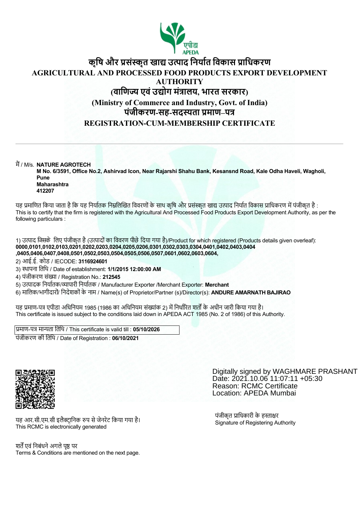

# **कृिष और सं ृत खा उ ाद िनया त िवकास ािधकरण AGRICULTURAL AND PROCESSED FOOD PRODUCTS EXPORT DEVELOPMENT AUTHORITY (वािण एवंउ ोग मं ालय, भारत सरकार) (Ministry of Commerce and Industry, Govt. of India) पंजीकरण-सह-सद ता माण–प REGISTRATION-CUM-MEMBERSHIP CERTIFICATE**

म / M/s. **NATURE AGROTECH**

**M No. 6/3591, Office No.2, Ashirvad Icon, Near Rajarshi Shahu Bank, Kesansnd Road, Kale Odha Haveli, Wagholi, Pune Maharashtra**

**412207**

यह प्रमाणित किया जाता है कि यह निर्यातक निम्नलिखित विवरणों के साथ कृषि और प्रसंस्कृत खाद्य उत्पाद निर्यात विकास प्राधिकरण में पंजीकृत है : This is to certify that the firm is registered with the Agricultural And Processed Food Products Export Development Authority, as per the following particulars :

1) उत्पाद जिसके लिए पंजीकृत है (उत्पादों का विवरण पीछे दिया गया है)/Product for which registered (Products details given overleaf): **0000,0101,0102,0103,0201,0202,0203,0204,0205,0206,0301,0302,0303,0304,0401,0402,0403,0404 ,0405,0406,0407,0408,0501,0502,0503,0504,0505,0506,0507,0601,0602,0603,0604,**

2) आई.ई. कोड / IECODE: **3116924601**

3) थापना ितिथ / Date of establishment: **1/1/2015 12:00:00 AM**

4) पंजीकरण संख्या / Registration No.: 212545

5) उ ादक िनया तक/ ापारी िनया तक / Manufacturer Exporter /Merchant Exporter: **Merchant**

6) मािलक/भागीदारों/ िनदेशकोंके नाम / Name(s) of Proprietor/Partner (s)/Director(s): **ANDURE AMARNATH BAJIRAO**

यह प्रमाण-पत्र एपीडा अधिनियम 1985 (1986 का अधिनियम संख्यांक 2) में निर्धारित शर्तों के अधीन जारी किया गया है। This certificate is issued subject to the conditions laid down in APEDA ACT 1985 (No. 2 of 1986) of this Authority.

प्रमाण-पत्र मान्यता तिथि / This certificate is valid till : **05/10/2026** पंजीकरण की ितिथ / Date of Registration : **06/10/2021**



Digitally signed by WAGHMARE PRASHANT Date: 2021.10.06 11:07:11 +05:30 Reason: RCMC Certificate Location: APEDA Mumbai

यह आर.सी.एम.सी इलैक्टानिक रुप से जेनरेट किया गया है। This RCMC is electronically generated

श्चर्तें एवं निबंधने अगले पष्ठ पर Terms & Conditions are mentioned on the next page. पंजीकृत प्राधिकारी के हस्ताक्षर Signature of Registering Authority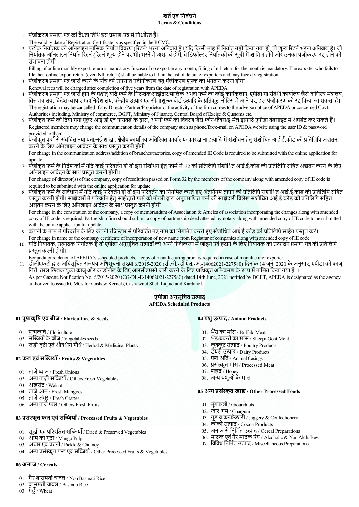## **शत एवंिनबंधने Terms & Conditions**

- 1. पंजीकरण प्रमाण-पत्र की वैधता तिथि इस प्रमाण-पत्र में निर्धारित है।
- The validity date of Registration Certificate is as specified in the RCMC.
- 2. प्रत्येक निर्यातक को ऑनलाइन मासिक निर्यात विवरण (रिटर्न) भरना अनिवार्य है। यदि किसी माह में निर्यात नहीं किया गया हो, तो शून्य रिटर्न भरना अनिवार्य है। जो निर्यातक ऑनलाइन निर्यात रिटर्न (रिटर्न शून्य होने पर भी) भरने में असमर्थ होंगे, वे डिफॉल्टर नियतिकों की सूची में शामिल होंगे और उनका पंजीकरण रद्द होने की संभावना होगी।

Filling of online monthly export return is mandatory. In case of no export in any month, filling of nil return for the month is mandatory. The exporter who fails to file their online export return (even NIL return) shall be liable to fall in the list of defaulter exporters and may face de-registration.

- 3. पंजीकरण प्रमाण-पत्र जारी करने के पाँच वर्ष उपरान्त नवीनीकरण हेतु पंजीकरण शुल्क का भगतान करना होगा।
- Renewal fees will be charged after completion of five years from the date of registration with APEDA.
- 4. पंजीकरण प्रमाण-पत्र जारी होने के पश्चात् यदि फर्म के निदेशक/साझेदार/मालिक अथवा फर्म का कोई कार्यकलाप, एपीडा या संबंधी कार्यालय जैसे वाणिज्य मंत्रालय, वित्त मंत्रालय, विदेश व्यापार महानिदेशालय, केन्द्रीय उत्पाद एवं सीमाशुल्क बोर्ड इत्यादि के प्रतिकूल नोटिस में आने पर, इस पंजीकरण को रद्द किया जा सकता है। The registration may be cancelled if any Director/Partner/Proprietor or the activity of the firm comes to the adverse notice of APEDA or concerned Govt. Authorities including, Ministry of commerce, DGFT, Ministry of Finance, Central Board of Excise & Customs etc.
- 5. पंजीकृत फर्म को दिया गया यूज़र आई.डी एवं पासवर्ड के द्वारा, अपनी फर्म का विवरण जैसे फोन/फैक्स/ई-मेल इत्यादि एपीडा वेबसाइट में अपडेट कर सकते हैं। Registered members may change the communication details of the company such as phone/fax/e-mail on APEDA website using the user ID & password provided to them.
- 6. पंजीकृत फर्म से संबंधित नया पता/नई शाखा. क्षेत्रीय कार्यालय अतिरिक्त कार्यालय/ कारखाना इत्यादि में संशोधन आतर्ज काई.ई.कोड की प्रतिलिपि अद्यतन करने के लिए ऑनलाइन आवेदन के साथ प्रस्तुत करनी होगी।

For change in the communication address/addition of branches/factories, copy of amended IE Code is required to be submitted with the online application for update.

7. पंजीकृत फर्म के निदेशकों में यदि कोई परिवर्तन हो तो इस संशोधन हेतु फार्म नं. 32 की प्रतिलिपि संशोधित आई.ई.कोड की प्रतिलिपि सहित अद्यतन करने के लिए ऑनलाइन आवेदन के साथ प्रस्तुत करनी होगी।

For change of director(s) of the company, copy of resolution passed on Form 32 by the members of the company along with amended copy of IE code is required to be submitted with the online application for update.

8. पंजीकृत फर्म के संविधान में यदि कोई परिवर्तन हो तो इस परिवर्तन को निगमित करते हुए अंतनियम ज्ञापन की प्रतिलिपि आई.ई.कोड को प्रतिलिपि सहित प्रस्तुत करनी होगी। साझेदारों में परिवर्तन हेतु साझेदारी फर्म को नोटरी द्वारा अनुप्रमाणित फर्म की साझेदारी विलेख संशोधित आई.ई.कोड की प्रतिलिपि सहित अद्यतन करने के लिए ऑनलाइन आवेदन के साथ प्रस्तुत करनी होगी।

For change in the constitution of the company, a copy of memorandum of Association & Articles of association incorporating the changes along with amended copy of IE code is required. Partnership firm should submit a copy of partnership deed attested by notary along with amended copy of IE code to be submitted with the online application for update.

- 9. कंपनी के नाम में परिवर्तन के लिए कंपनी रजिस्टार से परिवर्तित नए नाम को निगमित करते हुए संशोधित आई.ई.कोड की प्रतिलिपि सहित प्रस्तुत करें। For change in name of the company certificate of incorporation of new name from Registrar of companies along with amended copy of IE code.
- 10. यदि निर्यातक, उत्पादक निर्यातक हैं तो एपीडा अनुसूचित उत्पादों को अपने पंजीकरण में जोड़ने एवं हटाने के लिए निर्यातक को उत्पादन प्रमाण-पत्र की प्रतिलिपि प्रस्तुत करनी होगी।

For addition/deletion of APEDA's scheduled products, a copy of manufacturing proof is required in case of manufacturer exporter.

11. डीजीएफटी द्वारा अधिसूचित राजपत्र अधिसूचना संख्या 6/2015-2020 (सी.जी.-डी.एल.-अ.-14062021-227580) दिनांक 14 जून, 2021 के अनुसार, एपीडा को काजू गिरी, तरल छिलकायुक्त काजू और काडनि़ाल के लिए आरसीएमसी जारी करने के लिए प्राधिकृत अभिकरण के रूप में नामित किया गया है।। As per Gazette Notification No. 6/2015-2020 (CG-DL-E-14062021-227580) dated 14th June, 2021 notified by DGFT, APEDA is designated as the agency

# authorized to issue RCMCs for Cashew Kernels, Cashewnut Shell Liquid and Kardanol.

### **एपीडा अनुसूिचत उ ाद APEDA Scheduled Products**

## **01 पु कृिष एवंबीज / Floriculture & Seeds**

- 01. पुष्पकृषि / Floriculture
- 02. सब्जियों के बीज / Vegetables seeds
- 03. जड़ी-बूटी एवंऔषधीय पौधे / Herbal & Medicinal Plants

## **02 फल एवंस याँ / Fruits & Vegetables**

- 01. ताज़े प्याज / Fresh Onions
- 02. अन्य ताज़ी सब्जियाँ / Others Fresh Vegetables
- 03. अखरोट / Walnut
- 04. ताज़ेआम / Fresh Mangoes
- 05. ताज़े अंगूर / Fresh Grapes
- 06. अन्य ताजे फल / Others Fresh Fruits

## **03 सं ृत फल एवंस याँ / Processed Fruits & Vegetables**

- 01. सूखी एवं परिरक्षित सब्जियाँ / Dried & Preserved Vegetables
- 02. आम का गूदा / Mango Pulp
- 03. अचार एवंचटनी / Pickle & Chutney
- 04. अन्य प्रसंस्कृत फल एवं सब्जियाँ / Other Processed Fruits & Vegetables

### **06 अनाज / Cereals**

- 01. गैर बासमती चावल / Non Basmati Rice
- 02. बासमती चावल / Basmati Rice
- 03. गेहूँ / Wheat

#### **04 पशुउ ाद / Animal Products**

- 01. भैंस का मांस / Buffalo Meat
- 02. भेड़/बकरी का मांस / Sheep/ Goat Meat
- 03. कुक्कुट उत्पाद / Poultry Products
- 04. डेयरी उत्पाद / Dairy Products
- 05. पशुआँते / Animal Casings
- 06. प्रसंस्कृत मांस / Processed Meat
- 07. शहद / Honey
- 08. अ पशुओंके मांस

#### **05 अ सं ृत खा / Other Processed Foods**

- 01. मूंगफली / Groundnuts
- 02.  $\overline{q}$ र्वार-गम / Guargum
- 03. गुड़ व कन्फेक्शरी / Jaggery & Confectionery
- 04. कोको उत्पाद / Cocoa Products
- 05. अनाज से निर्मित उत्पाद / Cereal Preparations
- 06. मादक एवंगैर मादक पेय / Alcoholic & Non Alch. Bev.
- $07.$  विविध निर्मित उत्पाद / Miscellaneous Preparations